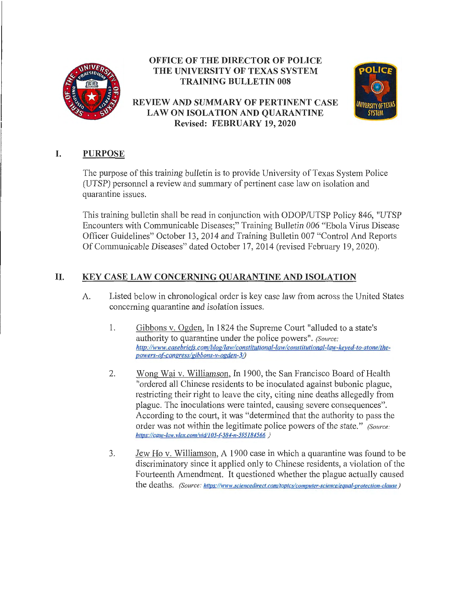

### **OFFICE OF THE DIRECTOR OF POLICE THE UNIVERSITY OF TEXAS SYSTEM TRAINING BULLETIN 008**

**REVIEW AND SUMMARY OF PERTINENT CASE LAW ON ISOLATION AND QUARANTINE Revised: FEBRUARY 19, 2020** 



# I. **PURPOSE**

The purpose of this training bulletin is to provide University of Texas System Police (UTSP) personnel a review and summary of pertinent case law on isolation and quarantine issues.

This training bulletin shall be read in conjunction with ODOP/UTSP Policy 846, "UTSP Encounters with Communicable Diseases;" Training Bulletin 006 "Ebola Virus Disease Officer Guidelines" October 13, 2014 and Training Bulletin 007 "Control And Reports OfConununicable Diseases" dated October 17, 2014 (revised February 19, 2020).

## II. **KEY CASE LAW CONCERNING QUARANTINE AND ISOLATION**

- A. Listed below in chronological order is key case law from across the United States concerning quarantine and isolation issues.
	- 1. Gibbons v. Ogden, In 1824 the Supreme Court "alluded to a state's authority to quarantine under the police powers". *(Source:*  http://www.casebriefs.com/blog/law/constitutional-law/constitutional-law-keyed-to-stone/thepowers-of-congress/gibbons-v-ogden-3/)
	- 2. Wong Wai v. Williamson, In 1900, the San Francisco Board of Health "ordered all Chinese residents to be inoculated against bubonic plague, restricting their right to leave the city, citing nine deaths allegedly from plague. The inoculations were tainted, causing severe consequences". According to the court, it was "determined that the authority to pass the order was not within the legitimate police powers of the state." *(Source: hllps:llcase-law. vlex. coml vid/103-f-384-n-59 5184566 )*
	- 3. Jew Ho v. Williamson, A 1900 case in which a quarantine was found to be discriminatory since it applied only to Chinese residents, a violation of the Fourteenth Amendment. It questioned whether the plague actually caused the deaths. *(Source: https://www.sciencedirect.com/topics/computer-science/equal-protection-clause)*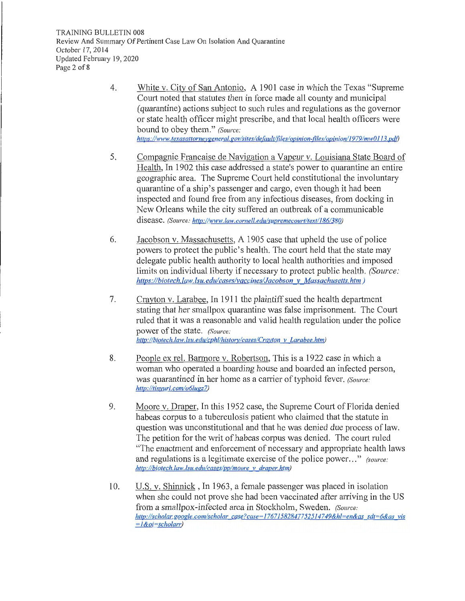TRAINING BULLETIN 008 Review And Summary Of Pertinent Case Law On Isolation And Quarantine October 17, 2014 Updated February 19, 2020 Page 2 of 8

- 4. White v. City of San Antonio, A 1901 case in which the Texas "Supreme Court noted that statutes then in force made all county and municipal (quarantine) actions subject to such rules and regulations as the governor or state health officer might prescribe, and that local health officers were bound to obey them." *(Source: https://www.texasattorneygeneral.gov/sites/default/files/opinion-files/opinion/1979/mw0113.pdf*)
- 5. Compagnie Francaise de Navigation a Vapeur v. Louisiana State Board of Health, In 1902 this case addressed a state's power to quarantine an entire geographic area. The Supreme Court held constitutional the involuntary quarantine of a ship's passenger and cargo, even though it had been inspected and found free from any infectious diseases, from docking in New Orleans while the city suffered an outbreak of a communicable disease. *(Source: http://www. law. corne/1. edulsupremecourt/text/186/380)*
- 6. Jacobson v. Massachusetts, A 1905 case that upheld the use of police powers to protect the public's health. The court held that the state may delegate public health authority to local health authorities and imposed limits on individual liberty if necessary to protect public health. *(Source*: *https://biotech.law.lsu.edu/cases/vaccines/Jacobson v Massachusetts.him)*
- 7. Crayton v. Larabee, In 1911 the plaintiff sued the health department stating that her smallpox quarantine was false imprisonment. The Court ruled that it was a reasonable and valid health regulation under the police power of the state. *(Source: http://biotech.law.lsu.edu/cphl/history/cases/Cravton v Larabee.htm)*
- 8. People ex rel. Barmore v. Robertson, This is a 1922 case in which a woman who operated a boarding house and boarded an infected person, was quarantined in her home as a carrier of typhoid fever. *(Source:* http://tinyurl.com/o6lugz7)
- 9. Moore v. Draper, In this 1952 case, the Supreme Comi of Florida denied habeas corpus to a tuberculosis patient who claimed that the statute in question was unconstitutional and that he was denied due process of law. The petition for the writ of habeas corpus was denied. The court ruled "The enactment and enforcement of necessary and appropriate health laws and regulations is a legitimate exercise of the police power ... " *(source: http://biotech. law. lsu. edulcases/pp/moore v draper. htm)*
- 10. U.S. v. Shinnick, In 1963, a female passenger was placed in isolation when she could not prove she had been vaccinated after arriving in the US from a smallpox-infected area in Stockholm, Sweden. *(Source: http://scholar.google.com/scho/ar case?case= l 767 l 5828477525 l 4749&hl=en&as sdt=6&as vis*  = *1 &oi=scholarr)*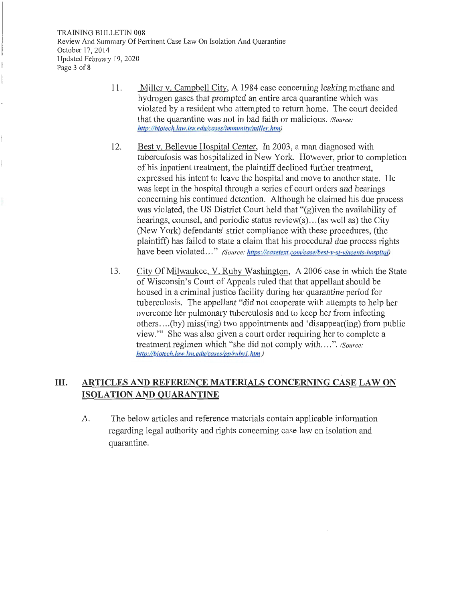- 11. Miller v. Campbell City, A 1984 case concerning leaking methane and hydrogen gases that prompted an entire area quarantine which was violated by a resident who attempted to return home. The court decided that the quarantine was not in bad faith or malicious. *(Source: http://biotech.law.lsu.edu/cases/immunity/miller.htm)*
- 12. Best v. Bellevue Hospital Center, In 2003, a man diagnosed with tuberculosis was hospitalized in New York. However, prior to completion of his inpatient treatment, the plaintiff declined further treatment, expressed his intent to leave the hospital and move to another state. He was kept in the hospital through a series of court orders and hearings concerning his continued detention. Although he claimed his due process was violated, the US District Court held that "(g)iven the availability of hearings, counsel, and periodic status review(s)... (as well as) the City (New York) defendants' strict compliance with these procedures, (the plaintiff) has failed to state a claim that his procedural due process rights have been violated ..." *(Source: https://casetext.com/case/best-v-st-vincents-hospital)*
- 13. City Of Milwaukee, V. Ruby Washington, A 2006 case in which the State of Wisconsin's Court of Appeals ruled that that appellant should be housed in a criminal justice facility during her quarantine period for tuberculosis. The appellant "did not cooperate with attempts to help her overcome her pulmonary tuberculosis and to keep her from infecting others .... (by) miss(ing) two appointments and 'disappear(ing) from public view."' She was also given a court order requiring her to complete a treatment regimen which "she did not comply with .... ". *(Source: http://biotech. law. /su.edul caseslpp/rubyl .htm )*

# **III. ARTICLES AND REFERENCE MATERIALS CONCERNING CASE LAW ON ISOLATION AND QUARANTINE**

A. The below articles and reference materials contain applicable information regarding legal authority and rights concerning case law on isolation and quarantine.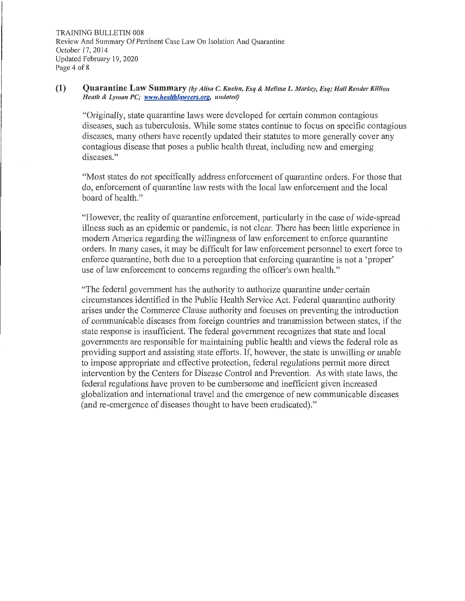#### **(1) Quarantine Law Summary** *(by Alisa C. Kuehn, Esq & Melissa L. Markey, Esq; Hall Render Killian Heath & Lyman PC; www.healthlawvers.org. undated)*

"Originally, state quarantine laws were developed for certain common contagious diseases, such as tuberculosis. While some states continue to focus on specific contagious diseases, many others have recently updated their statutes to more generally cover any contagious disease that poses a public health threat, including new and emerging diseases."

"Most states do not specifically address enforcement of quarantine orders. For those that do, enforcement of quarantine law rests with the local law enforcement and the local board of health."

"However, the reality of quarantine enforcement, particularly in the case of wide-spread illness such as an epidemic or pandemic, is not clear. There has been little experience in modern America regarding the willingness of law enforcement to enforce quarantine orders. In many cases, it may be difficult for law enforcement personnel to exert force to enforce quarantine, both due to a perception that enforcing quarantine is not a 'proper' use of law enforcement to concerns regarding the officer's own health."

"The federal government has the authority to authorize quarantine under certain circumstances identified in the Public Health Service Act. Federal quarantine authority arises under the Commerce Clause authority and focuses on preventing the introduction of communicable diseases from foreign countries and transmission between states, if the state response is insufficient. The federal government recognizes that state and local governments are responsible for maintaining public health and views the federal role as providing support and assisting state efforts. If, however, the state is unwilling or unable to impose appropriate and effective protection, federal regulations permit more direct intervention by the Centers for Disease Control and Prevention. As with state laws, the federal regulations have proven to be cumbersome and inefficient given increased globalization and international travel and the emergence of new communicable diseases ( and re-emergence of diseases thought to have been eradicated)."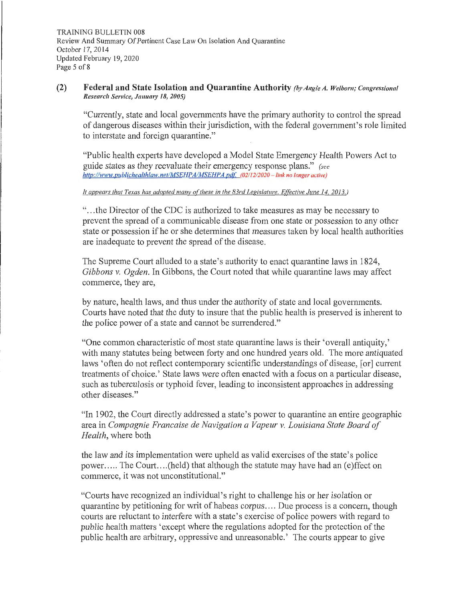#### **(2) Federal and State Isolation and Quarantine Authority** *(by Angie A. Welborn; Congressional***)** *Research Service, Ja1111mJ'* **18,** *2005)*

"Cunently, state and local governments have the primary authority to control the spread of dangerous diseases within their jurisdiction, with the federal government's role limited to interstate and foreign quarantine."

"Public health experts have developed a Model State Emergency Health Powers Act to guide states as they reevaluate their emergency response plans." *(see http://www.p11blichea/thlaw.net/MSEHPAIMSEHPA.pdf (02/12/2020 - link no longer active)* 

#### It *appears that Texas has adopted many of these in the 83rd Legislature. Effective June 14, 2013.*)

" ... the Director of the CDC is authorized to take measures as may be necessary to prevent the spread of a communicable disease from one state or possession to any other state or possession if he or she determines that measures taken by local health authorities are inadequate to prevent the spread of the disease.

The Supreme Court alluded to a state's authority to enact quarantine laws in 1824, *Gibbons v. Ogden.* In Gibbons, the Court noted that while quarantine laws may affect commerce, they are,

by nature, health laws, and thus under the authority of state and local governments. Courts have noted that the duty to insure that the public health is preserved is inherent to the police power of a state and cannot be surrendered."

"One common characteristic of most state quarantine laws is their 'overall antiquity,' with many statutes being between forty and one hundred years old. The more antiquated laws 'often do not reflect contemporary scientific understandings of disease, [or] current treatments of choice.' State laws were often enacted with a focus on a particular disease, such as tuberculosis or typhoid fever, leading to inconsistent approaches in addressing other diseases."

"In 1902, the Court directly addressed a state's power to quarantine an entire geographic area in *Compagnie Francaise de Navigation a Vapeur v. Louisiana State Board of Health,* where both

the law and its implementation were upheld as valid exercises of the state's police power..... The Court....(held) that although the statute may have had an (e)ffect on commerce, it was not unconstitutional."

"Courts have recognized an individual's right to challenge his or her isolation or quarantine by petitioning for writ of habeas corpus .... Due process is a concern, though comis are reluctant to interfere with a state's exercise of police powers with regard to public health matters 'except where the regulations adopted for the protection of the public health are arbitrary, oppressive and unreasonable.' The courts appear to give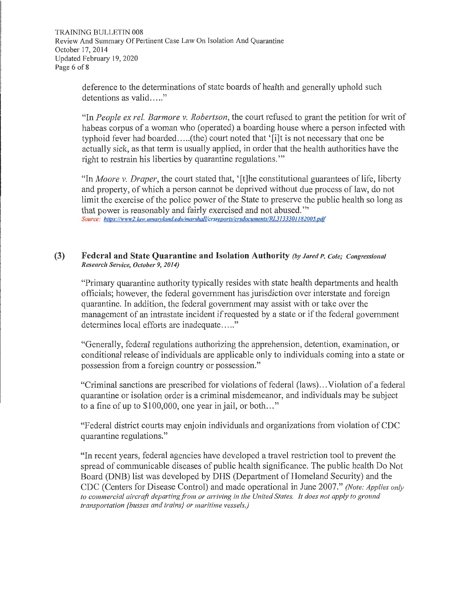TRAINING.BULLETIN 008 Review And Summary Of Pertinent Case Law On Isolation And Quarantine October 17, 2014 Updated February 19, 2020 Page 6 of 8

> deference to the determinations of state boards of health and generally uphold such  $d$  detentions as valid  $\dots$ ."

"In *People ex rel. Barmore v. Robertson,* the court refused to grant the petition for writ of habeas corpus of a woman who (operated) a boarding house where a person infected with typhoid fever had boarded.....(the) court noted that '[i]t is not necessary that one be actually sick, as that term is usually applied, in order that the health authorities have the right to restrain his liberties by quarantine regulations.""

"In *Moore v. Draper,* the court stated that, '[t]he constitutional guarantees of life, liberty and property, of which a person cannot be deprived without due process of law, do not limit the exercise of the police power of the State to preserve the public health so long as that power is reasonably and fairly exercised and not abused."' Source: https://www2.law.umaryland.edu/marshall/crsreports/crsdocuments/RL3133301182005.pdf

#### **(3) Federal and State Quarantine and Isolation Authority (by Jared P. Cole; Congressional** *Research Service, October 9, 2014)*

"Primary quarantine authority typically resides with state health departments and health officials; however, the federal government has jurisdiction over interstate and foreign quarantine. In addition, the federal government may assist with or take over the management of an intrastate incident if requested by a state or if the federal government determines local efforts are inadequate....."

"Generally, federal regulations authorizing the apprehension, detention, examination, or conditional release of individuals are applicable only to individuals coming into a state or possession from a foreign country or possession."

"Criminal sanctions are prescribed for violations of federal (laws) ... Violation of a federal quarantine or isolation order is a criminal misdemeanor, and individuals may be subject to a fine of up to  $$100,000$ , one year in jail, or both..."

"Federal district courts may enjoin individuals and organizations from violation of CDC quarantine regulations."

"In recent years, federal agencies have developed a travel restriction tool to prevent the spread of communicable diseases of public health significance. The public health Do Not Board (DNB) list was developed by DHS (Department of Homeland Security) and the CDC (Centers for Disease Control) and made operational in June 2007." *(Note: Applies only to commercial aircraft departing fiwn or arriving in the United States. It does not apply to ground transportation {busses and trains} or maritime vessels.)*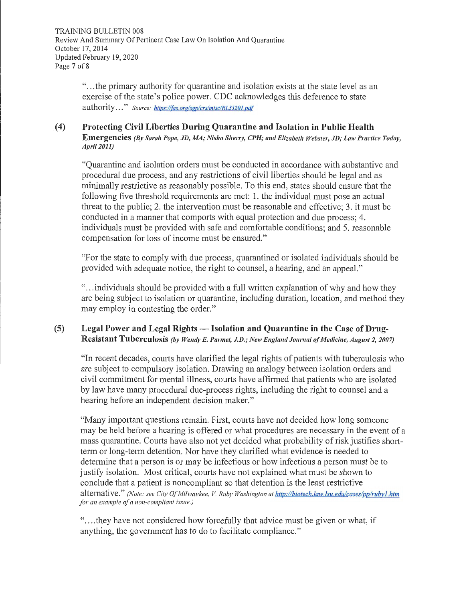" ... the primary authority for quarantine and isolation exists at the state level as an exercise of the state's police power. CDC acknowledges this deference to state authority ... " *Source: https:llfas.orglsgp/crslmisc/RL33201.pdf* 

### **\_(4) Protecting Civil Liberties During Quarantine and Isolation in Public Health Emergencies** (By Sarah Pope, JD, MA; Nisha Sherry, CPH; and Elizabeth Webster, JD; Law Practice Today, *April 2011)*

"Quarantine and isolation orders must be conducted in accordance with substantive and procedural due process, and any restrictions of civil liberties should be legal and as minimally restrictive as reasonably possible. To this end, states should ensure that the following five threshold requirements are met: 1. the individual must pose an actual threat to the public; 2. the intervention must be reasonable and effective; 3. it must be conducted in a manner that comports with equal protection and due process; 4. individuals must be provided with safe and comfortable conditions; and 5. reasonable compensation for loss of income must be ensured."

"For the state to comply with due process, quarantined or isolated individuals should be provided with adequate notice, the right to counsel, a hearing, and an appeal."

"... individuals should be provided with a full written explanation of why and how they are being subject to isolation or quarantine, including duration, location, and method they may employ in contesting the order."

### **(5) Legal Power and Legal Rights - Isolation and Quarantine in the Case of Drug-**Resistant Tuberculosis (by Wendy E. Parmet, J.D.; New England Journal of Medicine, August 2, 2007)

"In recent decades, comis have clarified the legal rights of patients with tuberculosis who are subject to compulsory isolation. Drawing an analogy between isolation orders and civil commitment for mental illness, courts have affirmed that patients who are isolated by law have many procedural due-process rights, including the right to counsel and a hearing before an independent decision maker."

"Many important questions remain. First, courts have not decided how long someone may be held before a hearing is offered or what procedures are necessary in the event of a mass quarantine. Courts have also not yet decided what probability of risk justifies shortterm or long-term detention. Nor have they clarified what evidence is needed to determine that a person is or may be infectious or how infectious a person must be to justify isolation. Most critical, courts have not explained what must be shown to conclude that a patient is noncompliant so that detention is the least restrictive alternative." *(Note: see City Of Milwaukee, V. Ruby Washington at http://biotech.law.lsu.edu/cases/pp/rubv1.htm* for an example of a non-compliant issue.)

".... they have not considered how forcefully that advice must be given or what, if anything, the govermnent has to do to facilitate compliance."